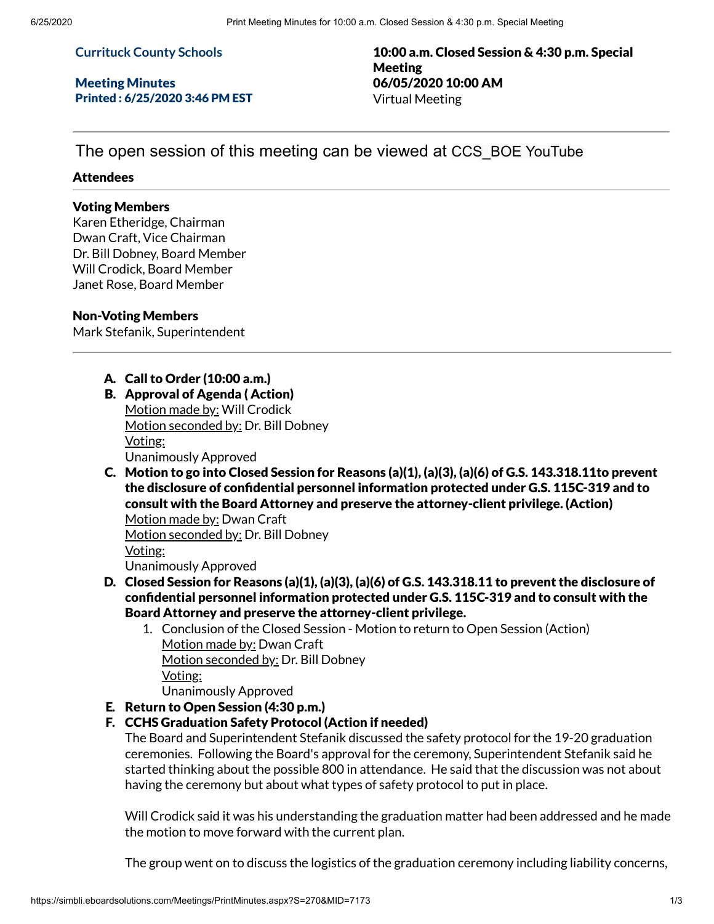### **Currituck County Schools**

Meeting Minutes Printed : 6/25/2020 3:46 PM EST

10:00 a.m. Closed Session & 4:30 p.m. Special Meeting 06/05/2020 10:00 AM Virtual Meeting

The open session of this meeting can be viewed at CCS\_BOE YouTube

### Attendees

#### Voting Members

Karen Etheridge, Chairman Dwan Craft, Vice Chairman Dr. Bill Dobney, Board Member Will Crodick, Board Member Janet Rose, Board Member

### Non-Voting Members

Mark Stefanik, Superintendent

# A. Call to Order (10:00 a.m.)

- B. Approval of Agenda ( Action) Motion made by: Will Crodick Motion seconded by: Dr. Bill Dobney Voting: Unanimously Approved
- C. Motion to go into Closed Session for Reasons (a)(1), (a)(3), (a)(6) of G.S. 143.318.11to prevent the disclosure of confidential personnel information protected under G.S. 115C-319 and to consult with the Board Attorney and preserve the attorney-client privilege. (Action)

Motion made by: Dwan Craft Motion seconded by: Dr. Bill Dobney Voting: Unanimously Approved

- D. Closed Session for Reasons (a)(1), (a)(3), (a)(6) of G.S. 143.318.11 to prevent the disclosure of condential personnel information protected under G.S. 115C-319 and to consult with the Board Attorney and preserve the attorney-client privilege.
	- 1. Conclusion of the Closed Session Motion to return to Open Session (Action) Motion made by: Dwan Craft Motion seconded by: Dr. Bill Dobney Voting:

Unanimously Approved

## E. Return to Open Session (4:30 p.m.)

## F. CCHS Graduation Safety Protocol (Action if needed)

The Board and Superintendent Stefanik discussed the safety protocol for the 19-20 graduation ceremonies. Following the Board's approval for the ceremony, Superintendent Stefanik said he started thinking about the possible 800 in attendance. He said that the discussion was not about having the ceremony but about what types of safety protocol to put in place.

Will Crodick said it was his understanding the graduation matter had been addressed and he made the motion to move forward with the current plan.

The group went on to discuss the logistics of the graduation ceremony including liability concerns,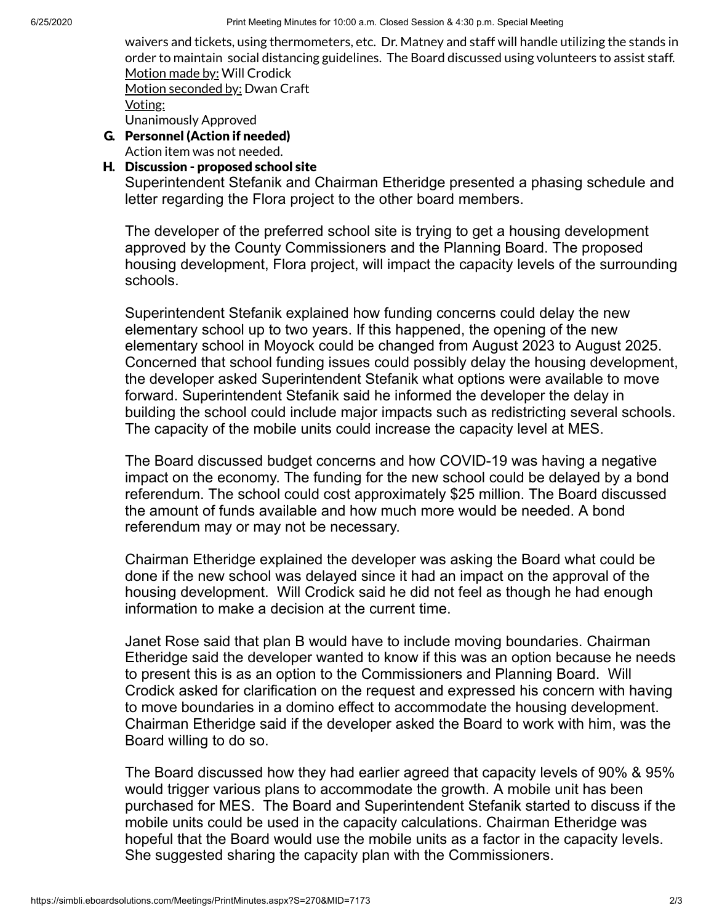waivers and tickets, using thermometers, etc. Dr. Matney and staff will handle utilizing the stands in order to maintain social distancing guidelines. The Board discussed using volunteers to assist staff. Motion made by: Will Crodick

Motion seconded by: Dwan Craft

Voting:

Unanimously Approved

G. Personnel (Action if needed)

Action item was not needed.

# H. Discussion - proposed school site

Superintendent Stefanik and Chairman Etheridge presented a phasing schedule and letter regarding the Flora project to the other board members.

The developer of the preferred school site is trying to get a housing development approved by the County Commissioners and the Planning Board. The proposed housing development, Flora project, will impact the capacity levels of the surrounding schools.

Superintendent Stefanik explained how funding concerns could delay the new elementary school up to two years. If this happened, the opening of the new elementary school in Moyock could be changed from August 2023 to August 2025. Concerned that school funding issues could possibly delay the housing development, the developer asked Superintendent Stefanik what options were available to move forward. Superintendent Stefanik said he informed the developer the delay in building the school could include major impacts such as redistricting several schools. The capacity of the mobile units could increase the capacity level at MES.

The Board discussed budget concerns and how COVID-19 was having a negative impact on the economy. The funding for the new school could be delayed by a bond referendum. The school could cost approximately \$25 million. The Board discussed the amount of funds available and how much more would be needed. A bond referendum may or may not be necessary.

Chairman Etheridge explained the developer was asking the Board what could be done if the new school was delayed since it had an impact on the approval of the housing development. Will Crodick said he did not feel as though he had enough information to make a decision at the current time.

Janet Rose said that plan B would have to include moving boundaries. Chairman Etheridge said the developer wanted to know if this was an option because he needs to present this is as an option to the Commissioners and Planning Board. Will Crodick asked for clarification on the request and expressed his concern with having to move boundaries in a domino effect to accommodate the housing development. Chairman Etheridge said if the developer asked the Board to work with him, was the Board willing to do so.

The Board discussed how they had earlier agreed that capacity levels of 90% & 95% would trigger various plans to accommodate the growth. A mobile unit has been purchased for MES. The Board and Superintendent Stefanik started to discuss if the mobile units could be used in the capacity calculations. Chairman Etheridge was hopeful that the Board would use the mobile units as a factor in the capacity levels. She suggested sharing the capacity plan with the Commissioners.